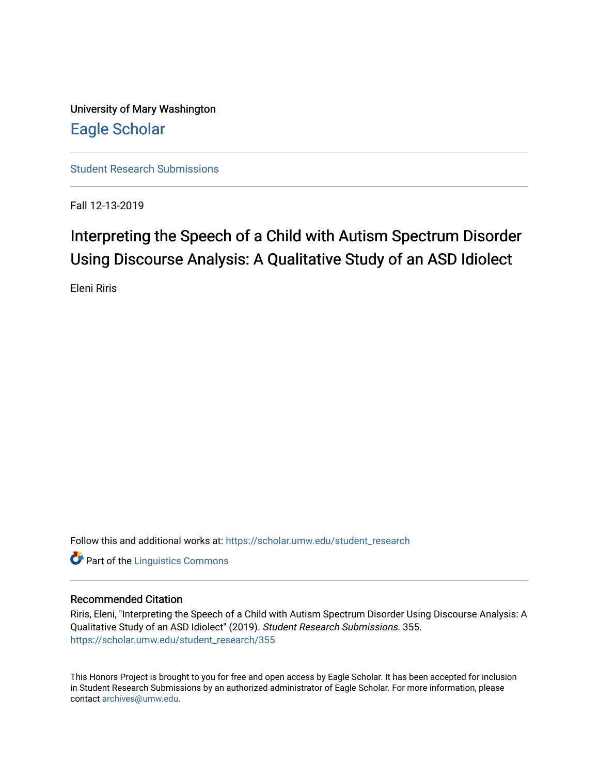University of Mary Washington [Eagle Scholar](https://scholar.umw.edu/) 

[Student Research Submissions](https://scholar.umw.edu/student_research) 

Fall 12-13-2019

## Interpreting the Speech of a Child with Autism Spectrum Disorder Using Discourse Analysis: A Qualitative Study of an ASD Idiolect

Eleni Riris

Follow this and additional works at: [https://scholar.umw.edu/student\\_research](https://scholar.umw.edu/student_research?utm_source=scholar.umw.edu%2Fstudent_research%2F355&utm_medium=PDF&utm_campaign=PDFCoverPages)

**Part of the Linguistics Commons** 

#### Recommended Citation

Riris, Eleni, "Interpreting the Speech of a Child with Autism Spectrum Disorder Using Discourse Analysis: A Qualitative Study of an ASD Idiolect" (2019). Student Research Submissions. 355. [https://scholar.umw.edu/student\\_research/355](https://scholar.umw.edu/student_research/355?utm_source=scholar.umw.edu%2Fstudent_research%2F355&utm_medium=PDF&utm_campaign=PDFCoverPages)

This Honors Project is brought to you for free and open access by Eagle Scholar. It has been accepted for inclusion in Student Research Submissions by an authorized administrator of Eagle Scholar. For more information, please contact [archives@umw.edu](mailto:archives@umw.edu).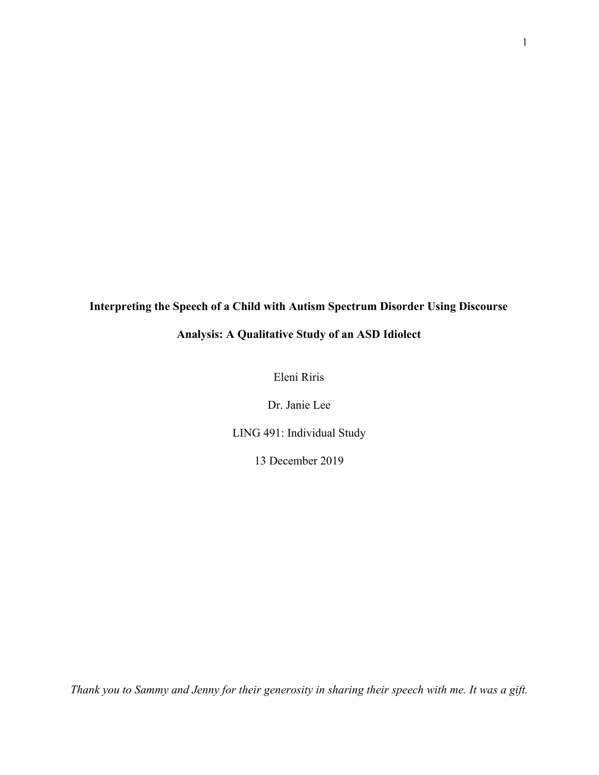# **Interpreting the Speech of a Child with Autism Spectrum Disorder Using Discourse Analysis: A Qualitative Study of an ASD Idiolect**

Eleni Riris

Dr. Janie Lee

LING 491: Individual Study

13 December 2019

*Thank you to Sammy and Jenny for their generosity in sharing their speech with me. It was a gift.*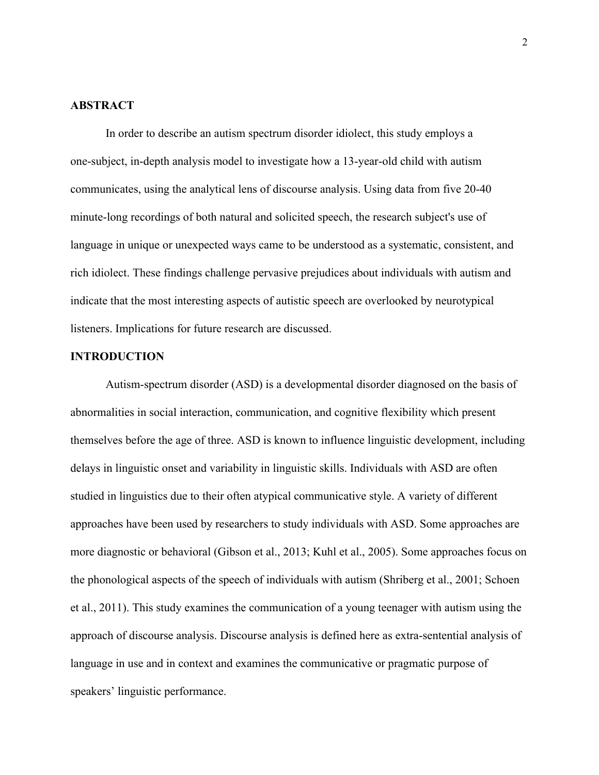#### **ABSTRACT**

In order to describe an autism spectrum disorder idiolect, this study employs a one-subject, in-depth analysis model to investigate how a 13-year-old child with autism communicates, using the analytical lens of discourse analysis. Using data from five 20-40 minute-long recordings of both natural and solicited speech, the research subject's use of language in unique or unexpected ways came to be understood as a systematic, consistent, and rich idiolect. These findings challenge pervasive prejudices about individuals with autism and indicate that the most interesting aspects of autistic speech are overlooked by neurotypical listeners. Implications for future research are discussed.

#### **INTRODUCTION**

Autism-spectrum disorder (ASD) is a developmental disorder diagnosed on the basis of abnormalities in social interaction, communication, and cognitive flexibility which present themselves before the age of three. ASD is known to influence linguistic development, including delays in linguistic onset and variability in linguistic skills. Individuals with ASD are often studied in linguistics due to their often atypical communicative style. A variety of different approaches have been used by researchers to study individuals with ASD. Some approaches are more diagnostic or behavioral (Gibson et al., 2013; Kuhl et al., 2005). Some approaches focus on the phonological aspects of the speech of individuals with autism (Shriberg et al., 2001; Schoen et al., 2011). This study examines the communication of a young teenager with autism using the approach of discourse analysis. Discourse analysis is defined here as extra-sentential analysis of language in use and in context and examines the communicative or pragmatic purpose of speakers' linguistic performance.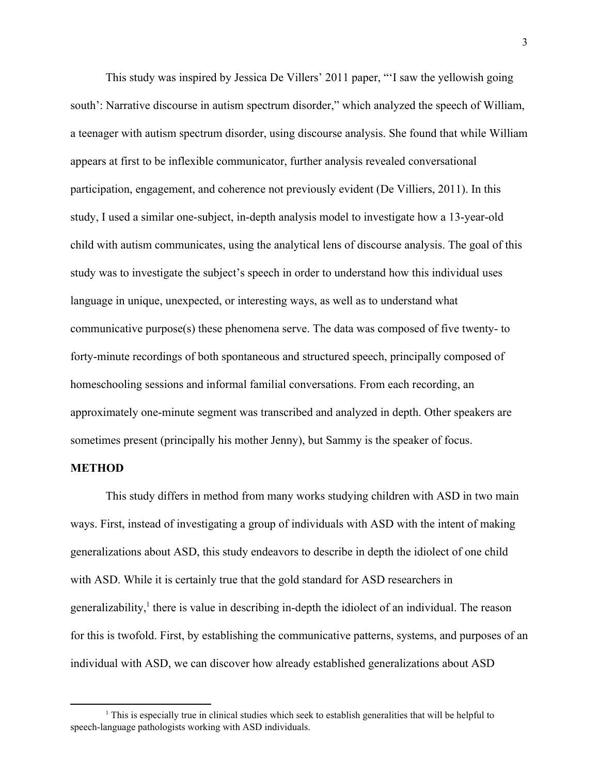This study was inspired by Jessica De Villers' 2011 paper, "'I saw the yellowish going south': Narrative discourse in autism spectrum disorder," which analyzed the speech of William, a teenager with autism spectrum disorder, using discourse analysis. She found that while William appears at first to be inflexible communicator, further analysis revealed conversational participation, engagement, and coherence not previously evident (De Villiers, 2011). In this study, I used a similar one-subject, in-depth analysis model to investigate how a 13-year-old child with autism communicates, using the analytical lens of discourse analysis. The goal of this study was to investigate the subject's speech in order to understand how this individual uses language in unique, unexpected, or interesting ways, as well as to understand what communicative purpose(s) these phenomena serve. The data was composed of five twenty- to forty-minute recordings of both spontaneous and structured speech, principally composed of homeschooling sessions and informal familial conversations. From each recording, an approximately one-minute segment was transcribed and analyzed in depth. Other speakers are sometimes present (principally his mother Jenny), but Sammy is the speaker of focus.

#### **METHOD**

This study differs in method from many works studying children with ASD in two main ways. First, instead of investigating a group of individuals with ASD with the intent of making generalizations about ASD, this study endeavors to describe in depth the idiolect of one child with ASD. While it is certainly true that the gold standard for ASD researchers in generalizability, $\frac{1}{2}$  there is value in describing in-depth the idiolect of an individual. The reason for this is twofold. First, by establishing the communicative patterns, systems, and purposes of an individual with ASD, we can discover how already established generalizations about ASD

 $<sup>1</sup>$  This is especially true in clinical studies which seek to establish generalities that will be helpful to</sup> speech-language pathologists working with ASD individuals.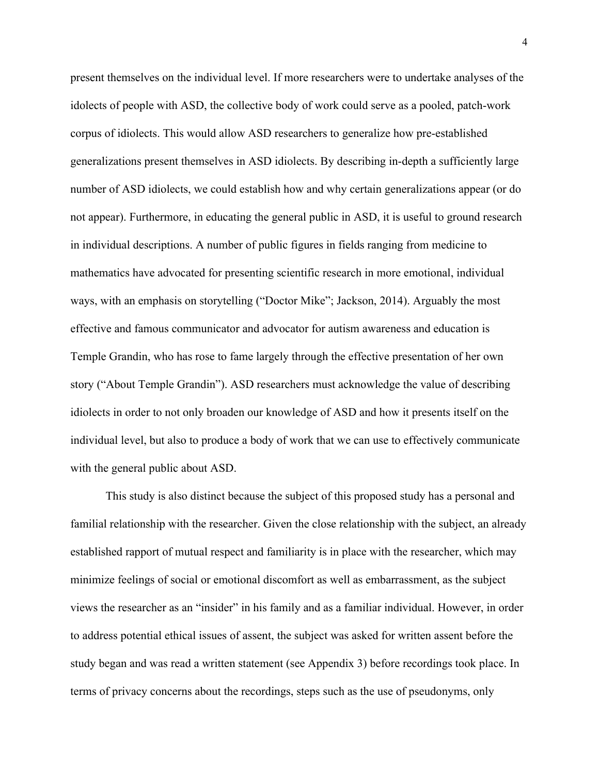present themselves on the individual level. If more researchers were to undertake analyses of the idolects of people with ASD, the collective body of work could serve as a pooled, patch-work corpus of idiolects. This would allow ASD researchers to generalize how pre-established generalizations present themselves in ASD idiolects. By describing in-depth a sufficiently large number of ASD idiolects, we could establish how and why certain generalizations appear (or do not appear). Furthermore, in educating the general public in ASD, it is useful to ground research in individual descriptions. A number of public figures in fields ranging from medicine to mathematics have advocated for presenting scientific research in more emotional, individual ways, with an emphasis on storytelling ("Doctor Mike"; Jackson, 2014). Arguably the most effective and famous communicator and advocator for autism awareness and education is Temple Grandin, who has rose to fame largely through the effective presentation of her own story ("About Temple Grandin"). ASD researchers must acknowledge the value of describing idiolects in order to not only broaden our knowledge of ASD and how it presents itself on the individual level, but also to produce a body of work that we can use to effectively communicate with the general public about ASD.

This study is also distinct because the subject of this proposed study has a personal and familial relationship with the researcher. Given the close relationship with the subject, an already established rapport of mutual respect and familiarity is in place with the researcher, which may minimize feelings of social or emotional discomfort as well as embarrassment, as the subject views the researcher as an "insider" in his family and as a familiar individual. However, in order to address potential ethical issues of assent, the subject was asked for written assent before the study began and was read a written statement (see Appendix 3) before recordings took place. In terms of privacy concerns about the recordings, steps such as the use of pseudonyms, only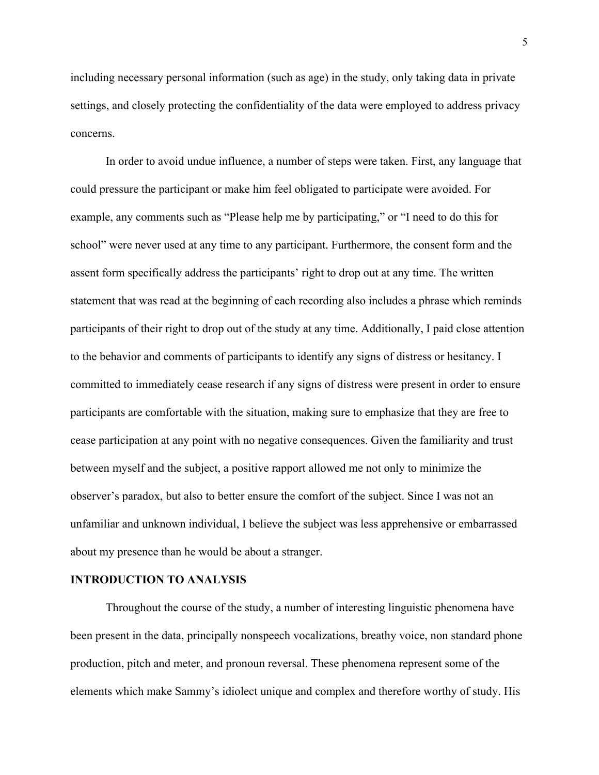including necessary personal information (such as age) in the study, only taking data in private settings, and closely protecting the confidentiality of the data were employed to address privacy concerns.

In order to avoid undue influence, a number of steps were taken. First, any language that could pressure the participant or make him feel obligated to participate were avoided. For example, any comments such as "Please help me by participating," or "I need to do this for school" were never used at any time to any participant. Furthermore, the consent form and the assent form specifically address the participants' right to drop out at any time. The written statement that was read at the beginning of each recording also includes a phrase which reminds participants of their right to drop out of the study at any time. Additionally, I paid close attention to the behavior and comments of participants to identify any signs of distress or hesitancy. I committed to immediately cease research if any signs of distress were present in order to ensure participants are comfortable with the situation, making sure to emphasize that they are free to cease participation at any point with no negative consequences. Given the familiarity and trust between myself and the subject, a positive rapport allowed me not only to minimize the observer's paradox, but also to better ensure the comfort of the subject. Since I was not an unfamiliar and unknown individual, I believe the subject was less apprehensive or embarrassed about my presence than he would be about a stranger.

#### **INTRODUCTION TO ANALYSIS**

Throughout the course of the study, a number of interesting linguistic phenomena have been present in the data, principally nonspeech vocalizations, breathy voice, non standard phone production, pitch and meter, and pronoun reversal. These phenomena represent some of the elements which make Sammy's idiolect unique and complex and therefore worthy of study. His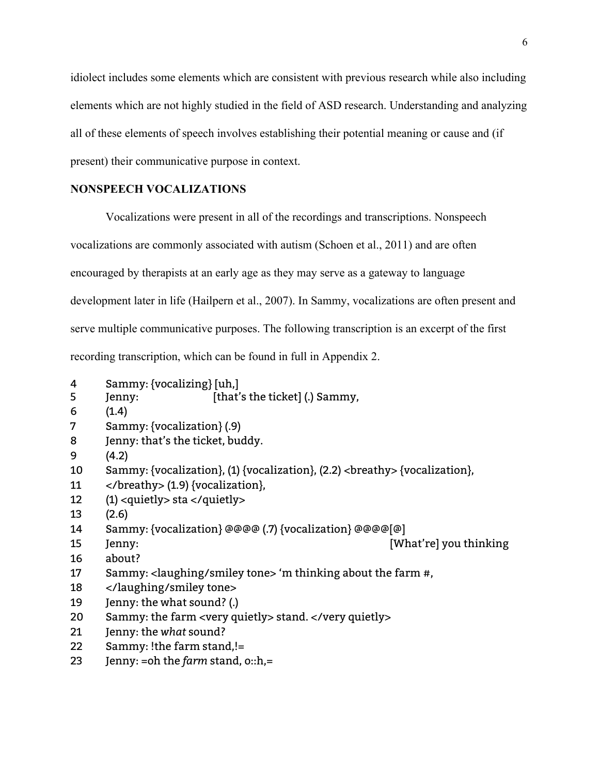idiolect includes some elements which are consistent with previous research while also including elements which are not highly studied in the field of ASD research. Understanding and analyzing all of these elements of speech involves establishing their potential meaning or cause and (if present) their communicative purpose in context.

#### **NONSPEECH VOCALIZATIONS**

Vocalizations were present in all of the recordings and transcriptions. Nonspeech vocalizations are commonly associated with autism (Schoen et al., 2011) and are often encouraged by therapists at an early age as they may serve as a gateway to language development later in life (Hailpern et al., 2007). In Sammy, vocalizations are often present and serve multiple communicative purposes. The following transcription is an excerpt of the first recording transcription, which can be found in full in Appendix 2.

- Sammy: {vocalizing} [uh,]
- Jenny: [that's the ticket] (.) Sammy,
- (1.4)
- Sammy: {vocalization} (.9)
- Jenny: that's the ticket, buddy.
- (4.2)
- 10 Sammy: {vocalization}, (1) {vocalization}, (2.2) <br/>  $\langle$  > {vocalization}, (1) {\end{math}
- </breathy> (1.9) {vocalization},
- (1) <quietly> sta </quietly>
- (2.6)
- Sammy: {vocalization} @@@@ (.7) {vocalization} @@@@[@]
- Jenny: [What're] you thinking
- about?
- Sammy: <laughing/smiley tone> 'm thinking about the farm #,
- </laughing/smiley tone>
- Jenny: the what sound? (.)
- Sammy: the farm <very quietly> stand. </very quietly>
- Jenny: the *what* sound?
- Sammy: !the farm stand,!=
- Jenny: =oh the *farm* stand, o::h,=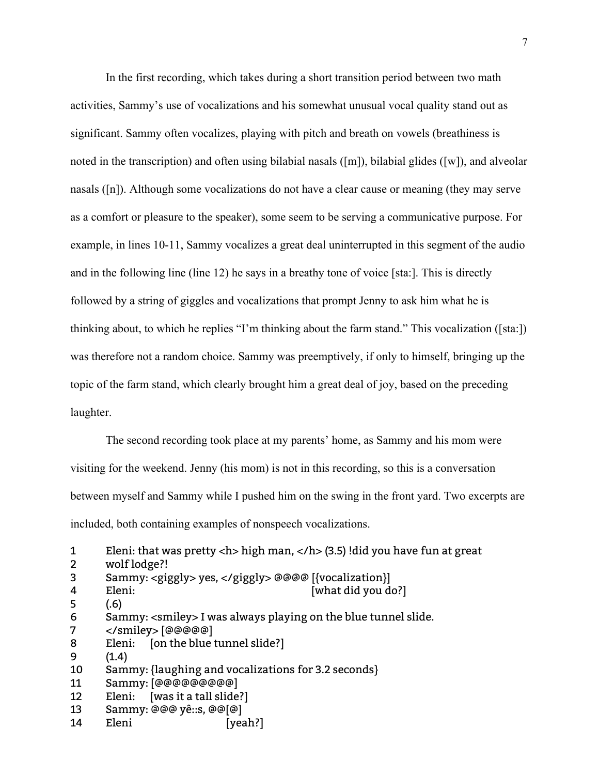In the first recording, which takes during a short transition period between two math activities, Sammy's use of vocalizations and his somewhat unusual vocal quality stand out as significant. Sammy often vocalizes, playing with pitch and breath on vowels (breathiness is noted in the transcription) and often using bilabial nasals ([m]), bilabial glides ([w]), and alveolar nasals ([n]). Although some vocalizations do not have a clear cause or meaning (they may serve as a comfort or pleasure to the speaker), some seem to be serving a communicative purpose. For example, in lines 10-11, Sammy vocalizes a great deal uninterrupted in this segment of the audio and in the following line (line 12) he says in a breathy tone of voice [sta:]. This is directly followed by a string of giggles and vocalizations that prompt Jenny to ask him what he is thinking about, to which he replies "I'm thinking about the farm stand." This vocalization ([sta:]) was therefore not a random choice. Sammy was preemptively, if only to himself, bringing up the topic of the farm stand, which clearly brought him a great deal of joy, based on the preceding laughter.

The second recording took place at my parents' home, as Sammy and his mom were visiting for the weekend. Jenny (his mom) is not in this recording, so this is a conversation between myself and Sammy while I pushed him on the swing in the front yard. Two excerpts are included, both containing examples of nonspeech vocalizations.

- 6 Sammy: <smiley> I was always playing on the blue tunnel slide.
- 7 </smiley> [@@@@@]
- 8 Eleni: [on the blue tunnel slide?]
- 9 (1.4)
- 10 Sammy: {laughing and vocalizations for 3.2 seconds}
- 11 Sammy: [@@@@@@@@@]
- 12 Eleni: [was it a tall slide?]
- 13 Sammy: @@@ yê::s, @@[@]
- 14 Eleni [yeah?]

<sup>1</sup> Eleni: that was pretty <h> high man, </h> (3.5) !did you have fun at great

<sup>2</sup> wolf lodge?!

<sup>3</sup> Sammy: <giggly> yes, </giggly> @@@@ [{vocalization}]

<sup>4</sup> Eleni: [what did you do?]

<sup>5</sup> (.6)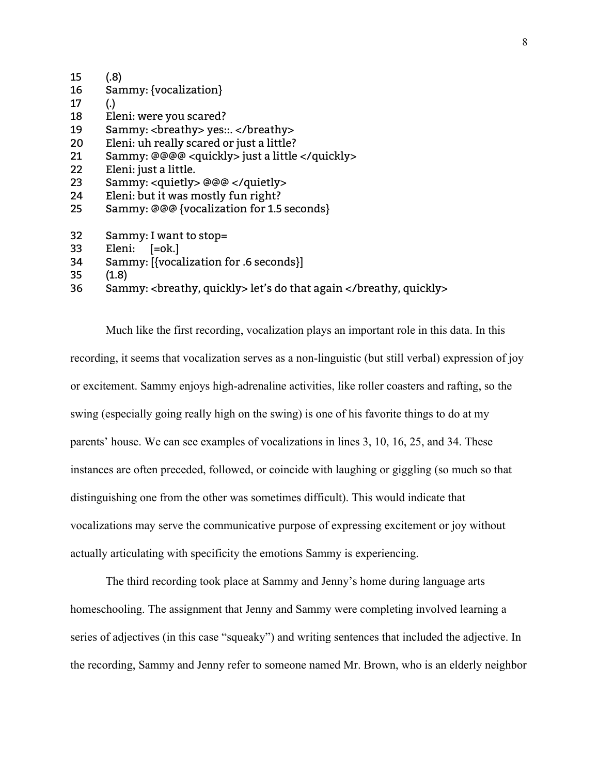| 15 | (.8)                                           |
|----|------------------------------------------------|
| 16 | Sammy: {vocalization}                          |
| 17 | $\left( .\right)$                              |
| 18 | Eleni: were you scared?                        |
| 19 | Sammy: <breathy> yes::. </breathy>             |
| 20 | Eleni: uh really scared or just a little?      |
| 21 | Sammy: @@@@ <quickly> just a little </quickly> |
| 22 | Eleni: just a little.                          |
| 23 | $Sammy:$ <guietly> @@@ </guietly>              |
| 24 | Eleni: but it was mostly fun right?            |
| 25 | Sammy: @@@ {vocalization for 1.5 seconds}      |
|    |                                                |
| 32 | Sammy: I want to stop=                         |
| 33 | Eleni: [=ok.]                                  |
| 34 | Sammy: [{vocalization for .6 seconds}]         |
|    |                                                |

- 35 (1.8)
- 36 Sammy: <breathy, quickly> let's do that again </breathy, quickly>

Much like the first recording, vocalization plays an important role in this data. In this recording, it seems that vocalization serves as a non-linguistic (but still verbal) expression of joy or excitement. Sammy enjoys high-adrenaline activities, like roller coasters and rafting, so the swing (especially going really high on the swing) is one of his favorite things to do at my parents' house. We can see examples of vocalizations in lines 3, 10, 16, 25, and 34. These instances are often preceded, followed, or coincide with laughing or giggling (so much so that distinguishing one from the other was sometimes difficult). This would indicate that vocalizations may serve the communicative purpose of expressing excitement or joy without actually articulating with specificity the emotions Sammy is experiencing.

The third recording took place at Sammy and Jenny's home during language arts homeschooling. The assignment that Jenny and Sammy were completing involved learning a series of adjectives (in this case "squeaky") and writing sentences that included the adjective. In the recording, Sammy and Jenny refer to someone named Mr. Brown, who is an elderly neighbor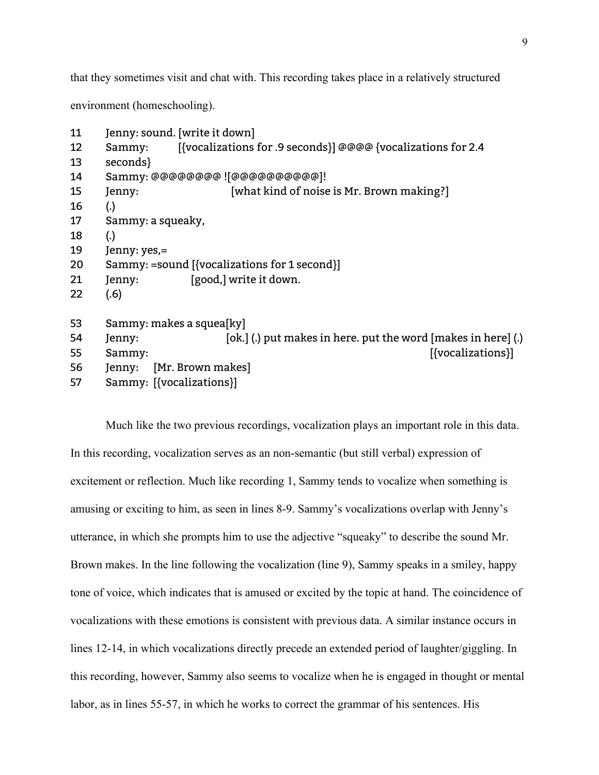that they sometimes visit and chat with. This recording takes place in a relatively structured

environment (homeschooling).

| 11 | Jenny: sound. [write it down]                                           |  |
|----|-------------------------------------------------------------------------|--|
| 12 | [{vocalizations for .9 seconds}] @@@@ {vocalizations for 2.4<br>Sammy:  |  |
| 13 | seconds}                                                                |  |
| 14 | Sammy: @@@@@@@@ ![@@@@@@@@@@@]!                                         |  |
| 15 | [what kind of noise is Mr. Brown making?]<br>Jenny:                     |  |
| 16 | $\left( .\right)$                                                       |  |
| 17 | Sammy: a squeaky,                                                       |  |
| 18 | $\left( .\right)$                                                       |  |
| 19 | Jenny: yes,=                                                            |  |
| 20 | Sammy: =sound [{vocalizations for 1 second}]                            |  |
| 21 | [good,] write it down.<br>Jenny:                                        |  |
| 22 | (.6)                                                                    |  |
| 53 | Sammy: makes a squea[ky]                                                |  |
| 54 | [ok.] (.) put makes in here. put the word [makes in here] (.)<br>Jenny: |  |
| 55 | [{vocalizations}]<br>Sammy:                                             |  |
| 56 | [Mr. Brown makes]<br>Jenny:                                             |  |
| 57 | Sammy: [{vocalizations}]                                                |  |

Much like the two previous recordings, vocalization plays an important role in this data. In this recording, vocalization serves as an non-semantic (but still verbal) expression of excitement or reflection. Much like recording 1, Sammy tends to vocalize when something is amusing or exciting to him, as seen in lines 8-9. Sammy's vocalizations overlap with Jenny's utterance, in which she prompts him to use the adjective "squeaky" to describe the sound Mr. Brown makes. In the line following the vocalization (line 9), Sammy speaks in a smiley, happy tone of voice, which indicates that is amused or excited by the topic at hand. The coincidence of vocalizations with these emotions is consistent with previous data. A similar instance occurs in lines 12-14, in which vocalizations directly precede an extended period of laughter/giggling. In this recording, however, Sammy also seems to vocalize when he is engaged in thought or mental labor, as in lines 55-57, in which he works to correct the grammar of his sentences. His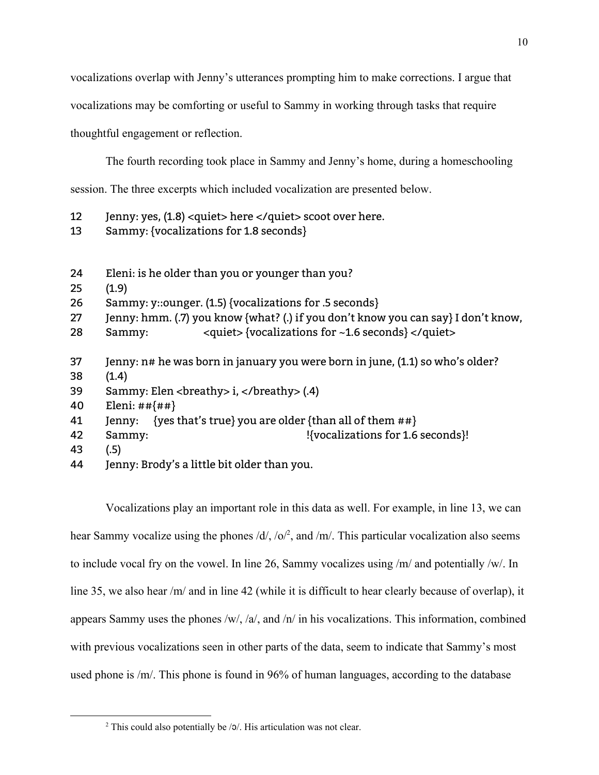vocalizations overlap with Jenny's utterances prompting him to make corrections. I argue that

vocalizations may be comforting or useful to Sammy in working through tasks that require

thoughtful engagement or reflection.

The fourth recording took place in Sammy and Jenny's home, during a homeschooling session. The three excerpts which included vocalization are presented below.

- 12 Jenny: yes, (1.8) <quiet> here </quiet> scoot over here.
- 13 Sammy: {vocalizations for 1.8 seconds}
- 24 Eleni: is he older than you or younger than you?
- 25 (1.9)

26 Sammy: y::ounger. (1.5) {vocalizations for .5 seconds}

- 27 Jenny: hmm. (.7) you know {what? (.) if you don't know you can say} I don't know,
- 28 Sammy: <quiet> {vocalizations for ~1.6 seconds} </quiet>
- 37 Jenny: n# he was born in january you were born in june, (1.1) so who's older?
- 38 (1.4)
- 39 Sammy: Elen <breathy> i, </breathy> (.4)
- 40 Eleni: ##{##}
- 41 Jenny: {yes that's true} you are older {than all of them  $#$ #}
- 42 Sammy:  $\{V\}$  Sammy:  $\{V\}$   $\{V\}$
- 43 (.5)
- 44 Jenny: Brody's a little bit older than you.

Vocalizations play an important role in this data as well. For example, in line 13, we can hear Sammy vocalize using the phones  $/d/$ ,  $/\sigma$ , and  $/m/$ . This particular vocalization also seems to include vocal fry on the vowel. In line 26, Sammy vocalizes using /m/ and potentially /w/. In line 35, we also hear /m/ and in line 42 (while it is difficult to hear clearly because of overlap), it appears Sammy uses the phones /w/, /a/, and /n/ in his vocalizations. This information, combined with previous vocalizations seen in other parts of the data, seem to indicate that Sammy's most used phone is /m/. This phone is found in 96% of human languages, according to the database

<sup>2</sup> This could also potentially be /ɔ/. His articulation was not clear.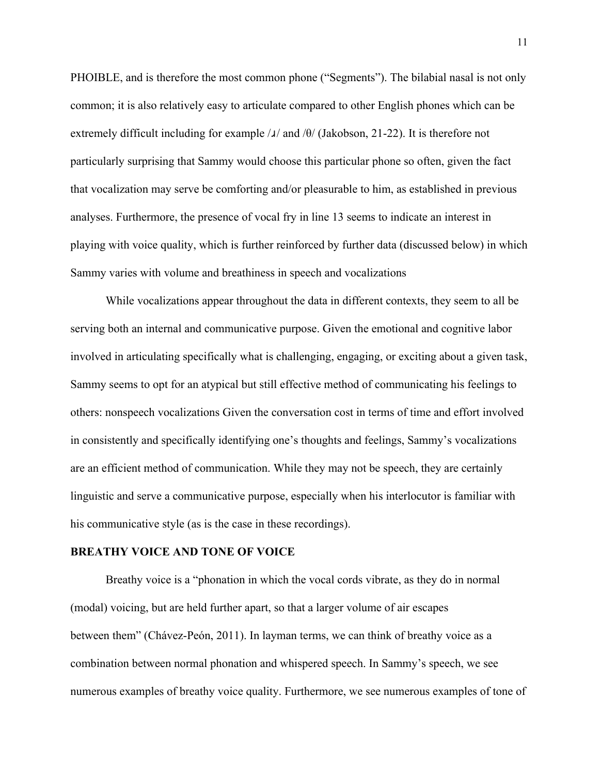PHOIBLE, and is therefore the most common phone ("Segments"). The bilabial nasal is not only common; it is also relatively easy to articulate compared to other English phones which can be extremely difficult including for example  $\lambda/\lambda$  and  $\theta$  (Jakobson, 21-22). It is therefore not particularly surprising that Sammy would choose this particular phone so often, given the fact that vocalization may serve be comforting and/or pleasurable to him, as established in previous analyses. Furthermore, the presence of vocal fry in line 13 seems to indicate an interest in playing with voice quality, which is further reinforced by further data (discussed below) in which Sammy varies with volume and breathiness in speech and vocalizations

While vocalizations appear throughout the data in different contexts, they seem to all be serving both an internal and communicative purpose. Given the emotional and cognitive labor involved in articulating specifically what is challenging, engaging, or exciting about a given task, Sammy seems to opt for an atypical but still effective method of communicating his feelings to others: nonspeech vocalizations Given the conversation cost in terms of time and effort involved in consistently and specifically identifying one's thoughts and feelings, Sammy's vocalizations are an efficient method of communication. While they may not be speech, they are certainly linguistic and serve a communicative purpose, especially when his interlocutor is familiar with his communicative style (as is the case in these recordings).

#### **BREATHY VOICE AND TONE OF VOICE**

Breathy voice is a "phonation in which the vocal cords vibrate, as they do in normal (modal) voicing, but are held further apart, so that a larger volume of air escapes between them" (Chávez-Peón, 2011). In layman terms, we can think of breathy voice as a combination between normal phonation and whispered speech. In Sammy's speech, we see numerous examples of breathy voice quality. Furthermore, we see numerous examples of tone of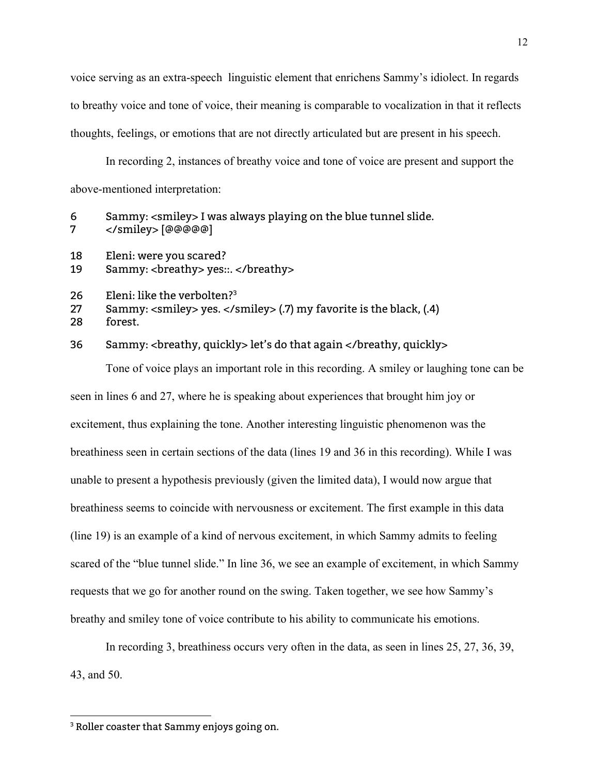voice serving as an extra-speech linguistic element that enrichens Sammy's idiolect. In regards to breathy voice and tone of voice, their meaning is comparable to vocalization in that it reflects thoughts, feelings, or emotions that are not directly articulated but are present in his speech.

In recording 2, instances of breathy voice and tone of voice are present and support the above-mentioned interpretation:

- 6 Sammy: <smiley> I was always playing on the blue tunnel slide. 7 </smiley> [@@@@@]
- 18 Eleni: were you scared?
- 19 Sammy: <breathy> yes::. </breathy>
- 26 Eleni: like the verbolten? 3
- 27 Sammy: <smiley> yes. </smiley> (.7) my favorite is the black, (.4)
- 28 forest.

#### 36 Sammy: <breathy, quickly> let's do that again </breathy, quickly>

Tone of voice plays an important role in this recording. A smiley or laughing tone can be seen in lines 6 and 27, where he is speaking about experiences that brought him joy or excitement, thus explaining the tone. Another interesting linguistic phenomenon was the breathiness seen in certain sections of the data (lines 19 and 36 in this recording). While I was unable to present a hypothesis previously (given the limited data), I would now argue that breathiness seems to coincide with nervousness or excitement. The first example in this data (line 19) is an example of a kind of nervous excitement, in which Sammy admits to feeling scared of the "blue tunnel slide." In line 36, we see an example of excitement, in which Sammy requests that we go for another round on the swing. Taken together, we see how Sammy's breathy and smiley tone of voice contribute to his ability to communicate his emotions.

In recording 3, breathiness occurs very often in the data, as seen in lines 25, 27, 36, 39, 43, and 50.

<sup>&</sup>lt;sup>3</sup> Roller coaster that Sammy enjoys going on.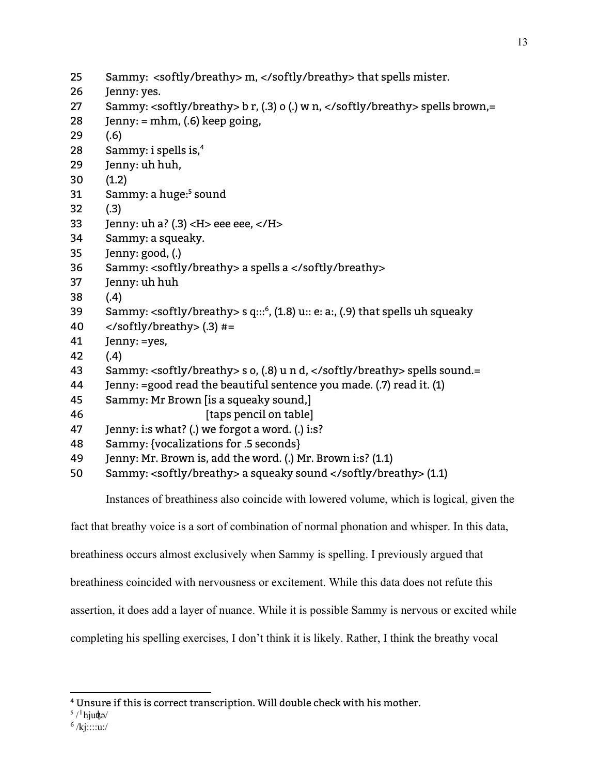- Sammy: <softly/breathy> m, </softly/breathy> that spells mister.
- Jenny: yes.
- Sammy: <softly/breathy> b r, (.3) o (.) w n, </softly/breathy> spells brown,=
- 28 Jenny:  $=$  mhm, (.6) keep going,
- (.6)
- Sammy: i spells is, 4
- Jenny: uh huh,
- (1.2)
- 31 Sammy: a huge:<sup>5</sup> sound
- (.3)
- 33 Jenny: uh a? (.3)  $\langle$  H  $>$  eee eee,  $\langle$  / H  $>$
- Sammy: a squeaky.
- Jenny: good, (.)
- Sammy: <softly/breathy> a spells a </softly/breathy>
- Jenny: uh huh
- (.4)
- 39 Sammy: <softly/breathy> s q::: $^6$ , (1.8) u:: e: a:, (.9) that spells uh squeaky
- 40  $\langle$ /softly/breathy> $(.3)$ #=
- Jenny: =yes,
- (.4)
- Sammy: <softly/breathy> s o, (.8) u n d, </softly/breathy> spells sound.=
- Jenny: =good read the beautiful sentence you made. (.7) read it. (1)
- Sammy: Mr Brown [is a squeaky sound,]
- *I* [taps pencil on table]
- Jenny: i:s what? (.) we forgot a word. (.) i:s?
- Sammy: {vocalizations for .5 seconds}
- Jenny: Mr. Brown is, add the word. (.) Mr. Brown i:s? (1.1)
- Sammy: <softly/breathy> a squeaky sound </softly/breathy> (1.1)

Instances of breathiness also coincide with lowered volume, which is logical, given the

fact that breathy voice is a sort of combination of normal phonation and whisper. In this data,

breathiness occurs almost exclusively when Sammy is spelling. I previously argued that

breathiness coincided with nervousness or excitement. While this data does not refute this

assertion, it does add a layer of nuance. While it is possible Sammy is nervous or excited while

completing his spelling exercises, I don't think it is likely. Rather, I think the breathy vocal

Unsure if this is correct transcription. Will double check with his mother.

<sup>&</sup>lt;sup>5</sup> / <sup>I</sup> hjuo<del>k</del>ə/

<sup>&</sup>lt;sup>6</sup> /kj::::u:/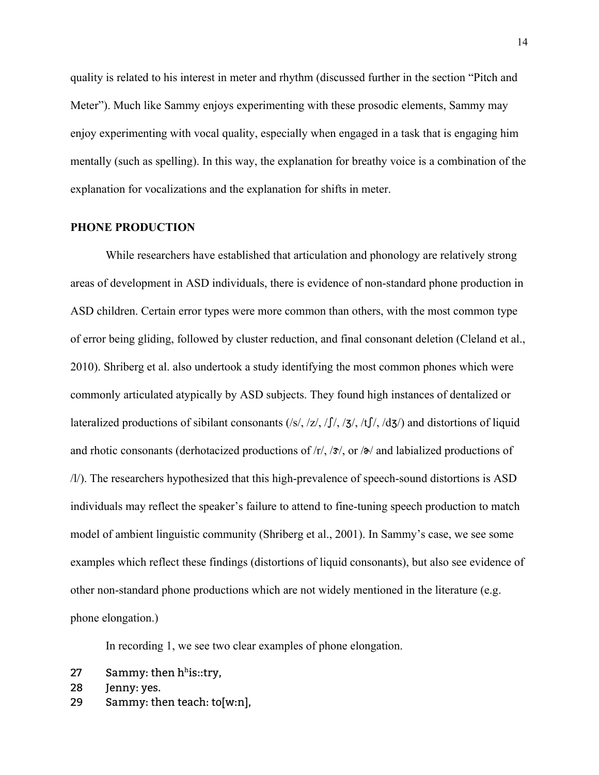quality is related to his interest in meter and rhythm (discussed further in the section "Pitch and Meter"). Much like Sammy enjoys experimenting with these prosodic elements, Sammy may enjoy experimenting with vocal quality, especially when engaged in a task that is engaging him mentally (such as spelling). In this way, the explanation for breathy voice is a combination of the explanation for vocalizations and the explanation for shifts in meter.

#### **PHONE PRODUCTION**

While researchers have established that articulation and phonology are relatively strong areas of development in ASD individuals, there is evidence of non-standard phone production in ASD children. Certain error types were more common than others, with the most common type of error being gliding, followed by cluster reduction, and final consonant deletion (Cleland et al., 2010). Shriberg et al. also undertook a study identifying the most common phones which were commonly articulated atypically by ASD subjects. They found high instances of dentalized or lateralized productions of sibilant consonants  $(|s|, |z|, |f|, |z|, |t|, |d\mathbf{x})$  and distortions of liquid and rhotic consonants (derhotacized productions of  $\frac{r}{r}$ ,  $\frac{3}{x}$ , or  $\frac{3}{x}$  and labialized productions of /l/). The researchers hypothesized that this high-prevalence of speech-sound distortions is ASD individuals may reflect the speaker's failure to attend to fine-tuning speech production to match model of ambient linguistic community (Shriberg et al., 2001). In Sammy's case, we see some examples which reflect these findings (distortions of liquid consonants), but also see evidence of other non-standard phone productions which are not widely mentioned in the literature (e.g. phone elongation.)

In recording 1, we see two clear examples of phone elongation.

- 27 Sammy: then  $h<sup>h</sup>$ is::try,
- 28 Jenny: yes.
- 29 Sammy: then teach: to[w:n],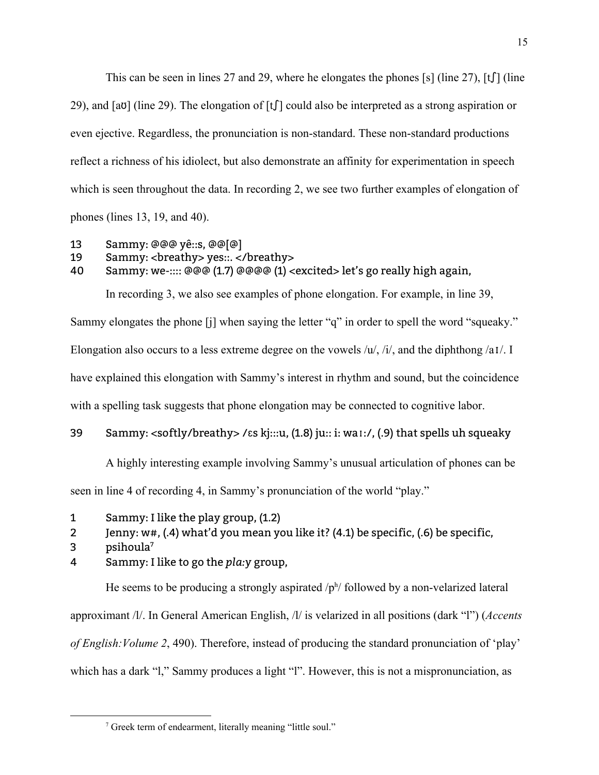This can be seen in lines 27 and 29, where he elongates the phones [s] (line 27), [t] (line 29), and [aʊ] (line 29). The elongation of  $[f]$  could also be interpreted as a strong aspiration or even ejective. Regardless, the pronunciation is non-standard. These non-standard productions reflect a richness of his idiolect, but also demonstrate an affinity for experimentation in speech which is seen throughout the data. In recording 2, we see two further examples of elongation of phones (lines 13, 19, and 40).

- 13 Sammy: @@@ yê::s, @@[@]
- 19 Sammy: <breathy> yes::. </breathy>
- 40 Sammy: we-:::: @@@ (1.7) @@@@ (1) <excited> let's go really high again,

In recording 3, we also see examples of phone elongation. For example, in line 39,

Sammy elongates the phone [j] when saying the letter "q" in order to spell the word "squeaky." Elongation also occurs to a less extreme degree on the vowels /u/, /i/, and the diphthong /aɪ/. I have explained this elongation with Sammy's interest in rhythm and sound, but the coincidence with a spelling task suggests that phone elongation may be connected to cognitive labor.

#### 39 Sammy: <softly/breathy> /ɛs kj:::u, (1.8) ju:: i: waɪ:/, (.9) that spells uh squeaky

A highly interesting example involving Sammy's unusual articulation of phones can be seen in line 4 of recording 4, in Sammy's pronunciation of the world "play."

- 1 Sammy: I like the play group, (1.2)
- 2 Jenny: w#, (.4) what'd you mean you like it? (4.1) be specific, (.6) be specific,
- 3 psihoula 7
- 4 Sammy: I like to go the *pla:y* group,

He seems to be producing a strongly aspirated  $/p<sup>h</sup>/$  followed by a non-velarized lateral approximant /l/. In General American English, /l/ is velarized in all positions (dark "l") (*Accents of English:Volume 2*, 490). Therefore, instead of producing the standard pronunciation of 'play'

which has a dark "l," Sammy produces a light "l". However, this is not a mispronunciation, as

<sup>7</sup> Greek term of endearment, literally meaning "little soul."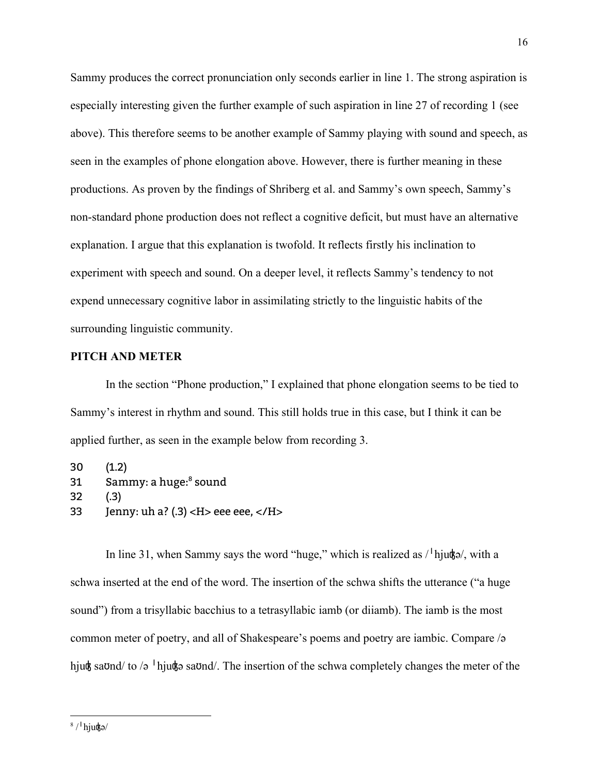Sammy produces the correct pronunciation only seconds earlier in line 1. The strong aspiration is especially interesting given the further example of such aspiration in line 27 of recording 1 (see above). This therefore seems to be another example of Sammy playing with sound and speech, as seen in the examples of phone elongation above. However, there is further meaning in these productions. As proven by the findings of Shriberg et al. and Sammy's own speech, Sammy's non-standard phone production does not reflect a cognitive deficit, but must have an alternative explanation. I argue that this explanation is twofold. It reflects firstly his inclination to experiment with speech and sound. On a deeper level, it reflects Sammy's tendency to not expend unnecessary cognitive labor in assimilating strictly to the linguistic habits of the surrounding linguistic community.

#### **PITCH AND METER**

In the section "Phone production," I explained that phone elongation seems to be tied to Sammy's interest in rhythm and sound. This still holds true in this case, but I think it can be applied further, as seen in the example below from recording 3.

30 (1.2) 31 Sammy: a huge:<sup>8</sup> sound 32 (.3) 33 Jenny: uh a? (.3) < $H$ > eee eee, < $/H$ >

In line 31, when Sammy says the word "huge," which is realized as  $\ell^1$  hjugs), with a schwa inserted at the end of the word. The insertion of the schwa shifts the utterance ("a huge sound") from a trisyllabic bacchius to a tetrasyllabic iamb (or diiamb). The iamb is the most common meter of poetry, and all of Shakespeare's poems and poetry are iambic. Compare /ə hjugh saond/ to /ə <sup>1</sup> hjugh saond/. The insertion of the schwa completely changes the meter of the

<sup>16</sup>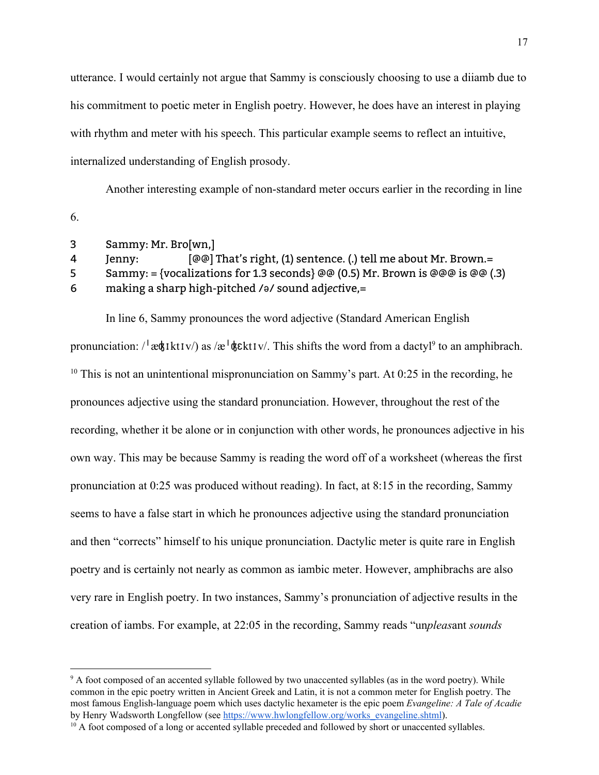utterance. I would certainly not argue that Sammy is consciously choosing to use a diiamb due to his commitment to poetic meter in English poetry. However, he does have an interest in playing with rhythm and meter with his speech. This particular example seems to reflect an intuitive, internalized understanding of English prosody.

Another interesting example of non-standard meter occurs earlier in the recording in line 6.

 Sammy: Mr. Bro[wn,] Jenny: [@@] That's right, (1) sentence. (.) tell me about Mr. Brown.= 5 Sammy: = {vocalizations for 1.3 seconds} @@ (0.5) Mr. Brown is @@@ is @@ (.3) making a sharp high-pitched /ə/ sound adj*ect*ive,=

In line 6, Sammy pronounces the word adjective (Standard American English

pronunciation:  $\ell^1$ æ $\frac{d}{dx}$ kt $Iv$ ) as  $\frac{dv}{dx}$   $\frac{d}{dx}$ kt $Iv$ . This shifts the word from a dactyl<sup>9</sup> to an amphibrach. <sup>10</sup> This is not an unintentional mispronunciation on Sammy's part. At 0:25 in the recording, he pronounces adjective using the standard pronunciation. However, throughout the rest of the recording, whether it be alone or in conjunction with other words, he pronounces adjective in his own way. This may be because Sammy is reading the word off of a worksheet (whereas the first pronunciation at 0:25 was produced without reading). In fact, at 8:15 in the recording, Sammy seems to have a false start in which he pronounces adjective using the standard pronunciation and then "corrects" himself to his unique pronunciation. Dactylic meter is quite rare in English poetry and is certainly not nearly as common as iambic meter. However, amphibrachs are also very rare in English poetry. In two instances, Sammy's pronunciation of adjective results in the creation of iambs. For example, at 22:05 in the recording, Sammy reads "un*pleas*ant *sounds*

<sup>&</sup>lt;sup>9</sup> A foot composed of an accented syllable followed by two unaccented syllables (as in the word poetry). While common in the epic poetry written in Ancient Greek and Latin, it is not a common meter for English poetry. The most famous English-language poem which uses dactylic hexameter is the epic poem *Evangeline: A Tale of Acadie* by Henry Wadsworth Longfellow (see [https://www.hwlongfellow.org/works\\_evangeline.shtml\)](https://www.hwlongfellow.org/works_evangeline.shtml).

<sup>&</sup>lt;sup>10</sup> A foot composed of a long or accented syllable preceded and followed by short or unaccented syllables.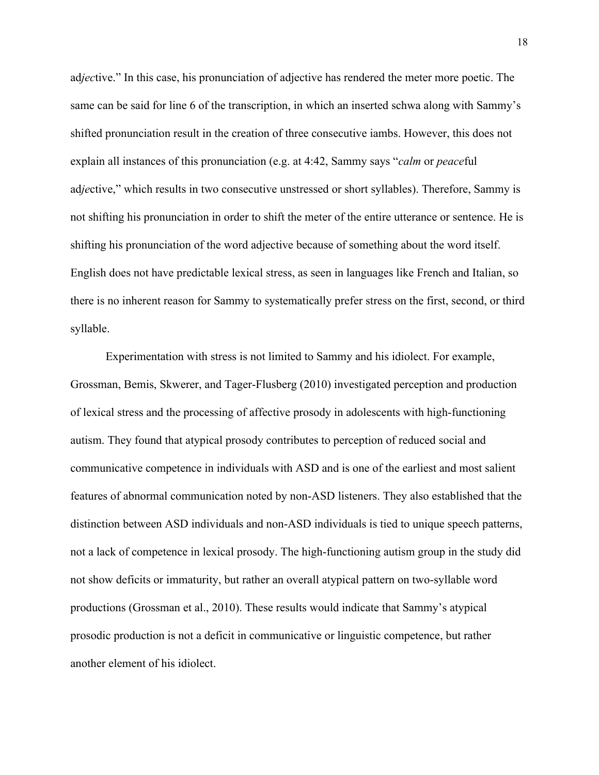ad*jec*tive." In this case, his pronunciation of adjective has rendered the meter more poetic. The same can be said for line 6 of the transcription, in which an inserted schwa along with Sammy's shifted pronunciation result in the creation of three consecutive iambs. However, this does not explain all instances of this pronunciation (e.g. at 4:42, Sammy says "*calm* or *peace*ful ad*je*ctive," which results in two consecutive unstressed or short syllables). Therefore, Sammy is not shifting his pronunciation in order to shift the meter of the entire utterance or sentence. He is shifting his pronunciation of the word adjective because of something about the word itself. English does not have predictable lexical stress, as seen in languages like French and Italian, so there is no inherent reason for Sammy to systematically prefer stress on the first, second, or third syllable.

Experimentation with stress is not limited to Sammy and his idiolect. For example, Grossman, Bemis, Skwerer, and Tager-Flusberg (2010) investigated perception and production of lexical stress and the processing of affective prosody in adolescents with high-functioning autism. They found that atypical prosody contributes to perception of reduced social and communicative competence in individuals with ASD and is one of the earliest and most salient features of abnormal communication noted by non-ASD listeners. They also established that the distinction between ASD individuals and non-ASD individuals is tied to unique speech patterns, not a lack of competence in lexical prosody. The high-functioning autism group in the study did not show deficits or immaturity, but rather an overall atypical pattern on two-syllable word productions (Grossman et al., 2010). These results would indicate that Sammy's atypical prosodic production is not a deficit in communicative or linguistic competence, but rather another element of his idiolect.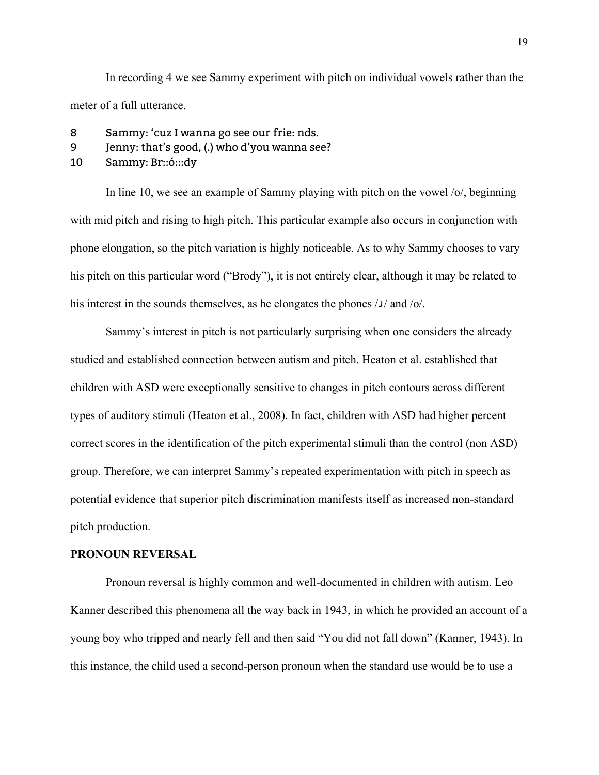In recording 4 we see Sammy experiment with pitch on individual vowels rather than the meter of a full utterance.

- 8 Sammy: 'cuz I wanna go see our frie: nds.
- 9 Jenny: that's good, (.) who d'you wanna see?
- 10 Sammy: Br::ó:::dy

In line 10, we see an example of Sammy playing with pitch on the vowel /o/, beginning with mid pitch and rising to high pitch. This particular example also occurs in conjunction with phone elongation, so the pitch variation is highly noticeable. As to why Sammy chooses to vary his pitch on this particular word ("Brody"), it is not entirely clear, although it may be related to his interest in the sounds themselves, as he elongates the phones  $\lambda$  and  $\delta$ .

Sammy's interest in pitch is not particularly surprising when one considers the already studied and established connection between autism and pitch. Heaton et al. established that children with ASD were exceptionally sensitive to changes in pitch contours across different types of auditory stimuli (Heaton et al., 2008). In fact, children with ASD had higher percent correct scores in the identification of the pitch experimental stimuli than the control (non ASD) group. Therefore, we can interpret Sammy's repeated experimentation with pitch in speech as potential evidence that superior pitch discrimination manifests itself as increased non-standard pitch production.

#### **PRONOUN REVERSAL**

Pronoun reversal is highly common and well-documented in children with autism. Leo Kanner described this phenomena all the way back in 1943, in which he provided an account of a young boy who tripped and nearly fell and then said "You did not fall down" (Kanner, 1943). In this instance, the child used a second-person pronoun when the standard use would be to use a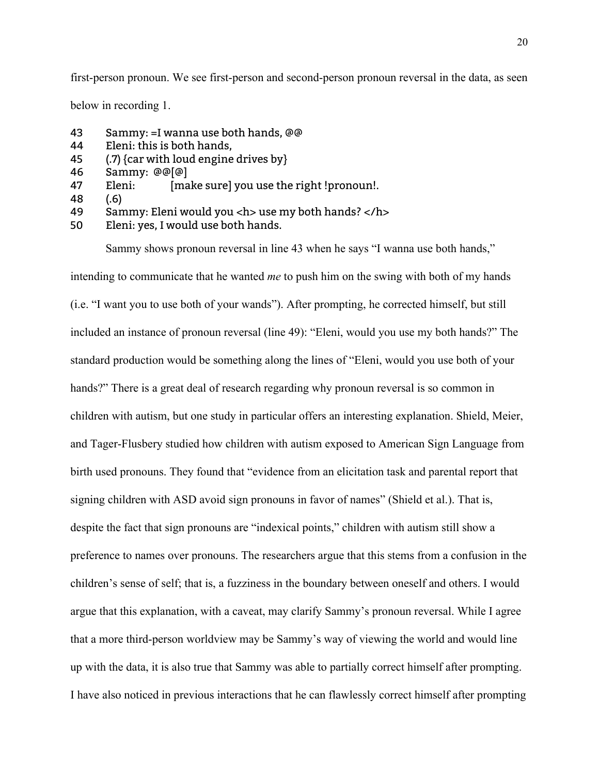first-person pronoun. We see first-person and second-person pronoun reversal in the data, as seen

below in recording 1.

- 43 Sammy: =I wanna use both hands, @@
- 44 Eleni: this is both hands,
- 45 (.7) {car with loud engine drives by}
- 46 Sammy: @@[@]
- 47 Eleni: [make sure] you use the right !pronoun!.
- 48 (.6)
- 49 Sammy: Eleni would you <h> use my both hands? </h>
- 50 Eleni: yes, I would use both hands.

Sammy shows pronoun reversal in line 43 when he says "I wanna use both hands,"

intending to communicate that he wanted *me* to push him on the swing with both of my hands (i.e. "I want you to use both of your wands"). After prompting, he corrected himself, but still included an instance of pronoun reversal (line 49): "Eleni, would you use my both hands?" The standard production would be something along the lines of "Eleni, would you use both of your hands?" There is a great deal of research regarding why pronoun reversal is so common in children with autism, but one study in particular offers an interesting explanation. Shield, Meier, and Tager-Flusbery studied how children with autism exposed to American Sign Language from birth used pronouns. They found that "evidence from an elicitation task and parental report that signing children with ASD avoid sign pronouns in favor of names" (Shield et al.). That is, despite the fact that sign pronouns are "indexical points," children with autism still show a preference to names over pronouns. The researchers argue that this stems from a confusion in the children's sense of self; that is, a fuzziness in the boundary between oneself and others. I would argue that this explanation, with a caveat, may clarify Sammy's pronoun reversal. While I agree that a more third-person worldview may be Sammy's way of viewing the world and would line up with the data, it is also true that Sammy was able to partially correct himself after prompting. I have also noticed in previous interactions that he can flawlessly correct himself after prompting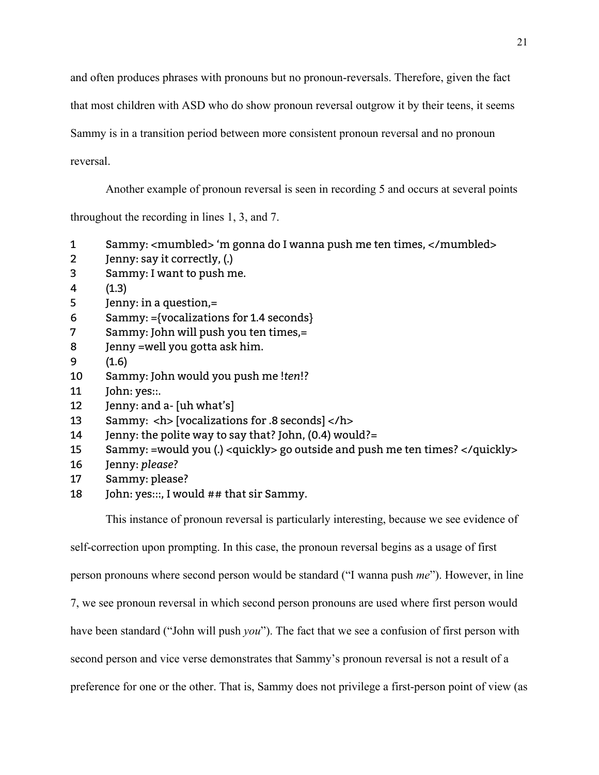and often produces phrases with pronouns but no pronoun-reversals. Therefore, given the fact

that most children with ASD who do show pronoun reversal outgrow it by their teens, it seems

Sammy is in a transition period between more consistent pronoun reversal and no pronoun

reversal.

Another example of pronoun reversal is seen in recording 5 and occurs at several points

throughout the recording in lines 1, 3, and 7.

- 1 Sammy: <mumbled> 'm gonna do I wanna push me ten times, </mumbled>
- 2 Jenny: say it correctly, (.)
- 3 Sammy: I want to push me.
- 4 (1.3)
- 5 Jenny: in a question,=
- 6 Sammy: ={vocalizations for 1.4 seconds}
- 7 Sammy: John will push you ten times,=
- 8 Jenny =well you gotta ask him.
- 9 (1.6)
- 10 Sammy: John would you push me !*ten*!?
- 11 John: yes::.
- 12 Jenny: and a- [uh what's]
- 13 Sammy: <h> [vocalizations for .8 seconds] </h>
- 14 Jenny: the polite way to say that? John, (0.4) would?=
- 15 Sammy: =would you (.) <quickly> go outside and push me ten times? </quickly>
- 16 Jenny: *please*?
- 17 Sammy: please?
- 18 John: yes:::, I would ## that sir Sammy.

This instance of pronoun reversal is particularly interesting, because we see evidence of

self-correction upon prompting. In this case, the pronoun reversal begins as a usage of first

person pronouns where second person would be standard ("I wanna push *me*"). However, in line

7, we see pronoun reversal in which second person pronouns are used where first person would

have been standard ("John will push *you*"). The fact that we see a confusion of first person with

second person and vice verse demonstrates that Sammy's pronoun reversal is not a result of a

preference for one or the other. That is, Sammy does not privilege a first-person point of view (as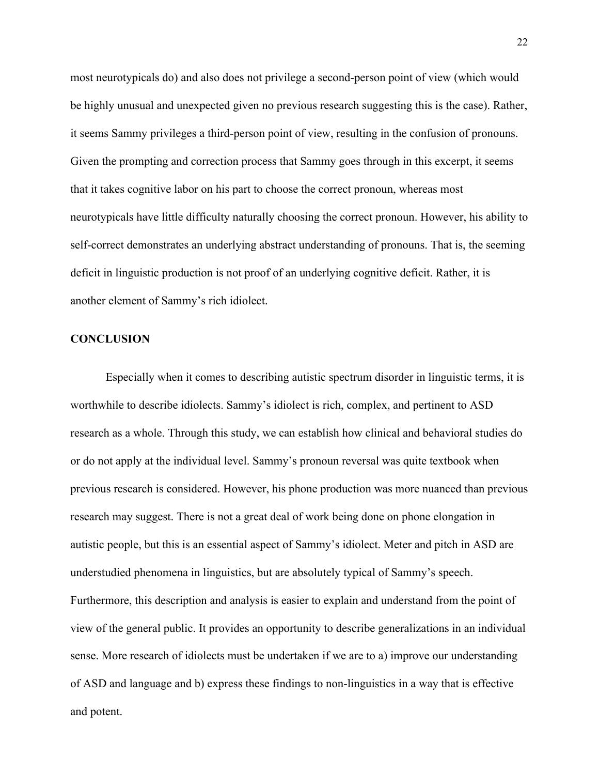most neurotypicals do) and also does not privilege a second-person point of view (which would be highly unusual and unexpected given no previous research suggesting this is the case). Rather, it seems Sammy privileges a third-person point of view, resulting in the confusion of pronouns. Given the prompting and correction process that Sammy goes through in this excerpt, it seems that it takes cognitive labor on his part to choose the correct pronoun, whereas most neurotypicals have little difficulty naturally choosing the correct pronoun. However, his ability to self-correct demonstrates an underlying abstract understanding of pronouns. That is, the seeming deficit in linguistic production is not proof of an underlying cognitive deficit. Rather, it is another element of Sammy's rich idiolect.

#### **CONCLUSION**

Especially when it comes to describing autistic spectrum disorder in linguistic terms, it is worthwhile to describe idiolects. Sammy's idiolect is rich, complex, and pertinent to ASD research as a whole. Through this study, we can establish how clinical and behavioral studies do or do not apply at the individual level. Sammy's pronoun reversal was quite textbook when previous research is considered. However, his phone production was more nuanced than previous research may suggest. There is not a great deal of work being done on phone elongation in autistic people, but this is an essential aspect of Sammy's idiolect. Meter and pitch in ASD are understudied phenomena in linguistics, but are absolutely typical of Sammy's speech. Furthermore, this description and analysis is easier to explain and understand from the point of view of the general public. It provides an opportunity to describe generalizations in an individual sense. More research of idiolects must be undertaken if we are to a) improve our understanding of ASD and language and b) express these findings to non-linguistics in a way that is effective and potent.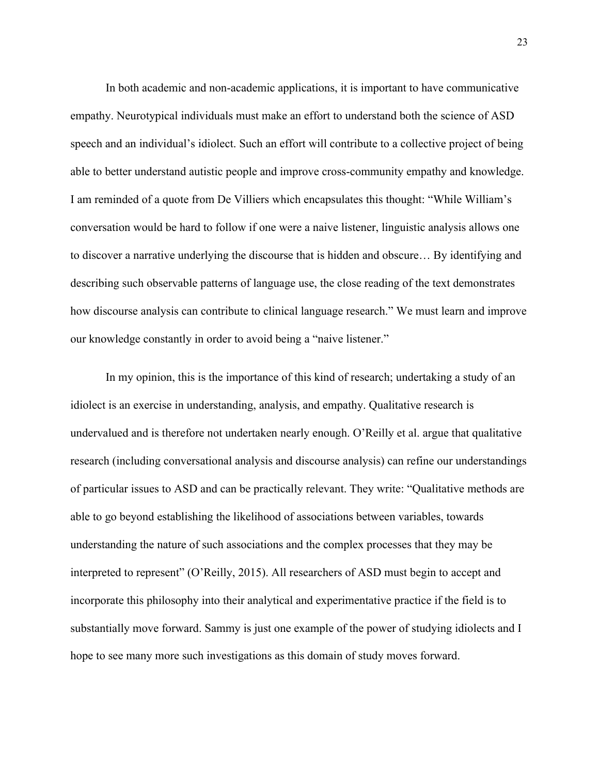In both academic and non-academic applications, it is important to have communicative empathy. Neurotypical individuals must make an effort to understand both the science of ASD speech and an individual's idiolect. Such an effort will contribute to a collective project of being able to better understand autistic people and improve cross-community empathy and knowledge. I am reminded of a quote from De Villiers which encapsulates this thought: "While William's conversation would be hard to follow if one were a naive listener, linguistic analysis allows one to discover a narrative underlying the discourse that is hidden and obscure… By identifying and describing such observable patterns of language use, the close reading of the text demonstrates how discourse analysis can contribute to clinical language research." We must learn and improve our knowledge constantly in order to avoid being a "naive listener."

In my opinion, this is the importance of this kind of research; undertaking a study of an idiolect is an exercise in understanding, analysis, and empathy. Qualitative research is undervalued and is therefore not undertaken nearly enough. O'Reilly et al. argue that qualitative research (including conversational analysis and discourse analysis) can refine our understandings of particular issues to ASD and can be practically relevant. They write: "Qualitative methods are able to go beyond establishing the likelihood of associations between variables, towards understanding the nature of such associations and the complex processes that they may be interpreted to represent" (O'Reilly, 2015). All researchers of ASD must begin to accept and incorporate this philosophy into their analytical and experimentative practice if the field is to substantially move forward. Sammy is just one example of the power of studying idiolects and I hope to see many more such investigations as this domain of study moves forward.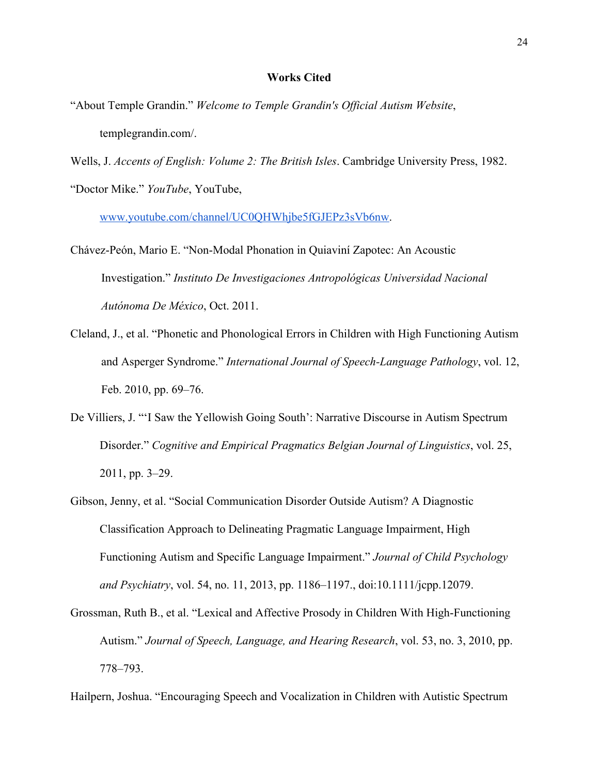#### **Works Cited**

"About Temple Grandin." *Welcome to Temple Grandin's Official Autism Website*, templegrandin.com/.

Wells, J. *Accents of English: Volume 2: The British Isles*. Cambridge University Press, 1982. "Doctor Mike." *YouTube*, YouTube,

[www.youtube.com/channel/UC0QHWhjbe5fGJEPz3sVb6nw.](http://www.youtube.com/channel/UC0QHWhjbe5fGJEPz3sVb6nw)

- Chávez-Peón, Mario E. "Non-Modal Phonation in Quiaviní Zapotec: An Acoustic Investigation." *Instituto De Investigaciones Antropológicas Universidad Nacional Autónoma De México*, Oct. 2011.
- Cleland, J., et al. "Phonetic and Phonological Errors in Children with High Functioning Autism and Asperger Syndrome." *International Journal of Speech-Language Pathology*, vol. 12, Feb. 2010, pp. 69–76.
- De Villiers, J. "'I Saw the Yellowish Going South': Narrative Discourse in Autism Spectrum Disorder." *Cognitive and Empirical Pragmatics Belgian Journal of Linguistics*, vol. 25, 2011, pp. 3–29.
- Gibson, Jenny, et al. "Social Communication Disorder Outside Autism? A Diagnostic Classification Approach to Delineating Pragmatic Language Impairment, High Functioning Autism and Specific Language Impairment." *Journal of Child Psychology and Psychiatry*, vol. 54, no. 11, 2013, pp. 1186–1197., doi:10.1111/jcpp.12079.
- Grossman, Ruth B., et al. "Lexical and Affective Prosody in Children With High-Functioning Autism." *Journal of Speech, Language, and Hearing Research*, vol. 53, no. 3, 2010, pp. 778–793.

Hailpern, Joshua. "Encouraging Speech and Vocalization in Children with Autistic Spectrum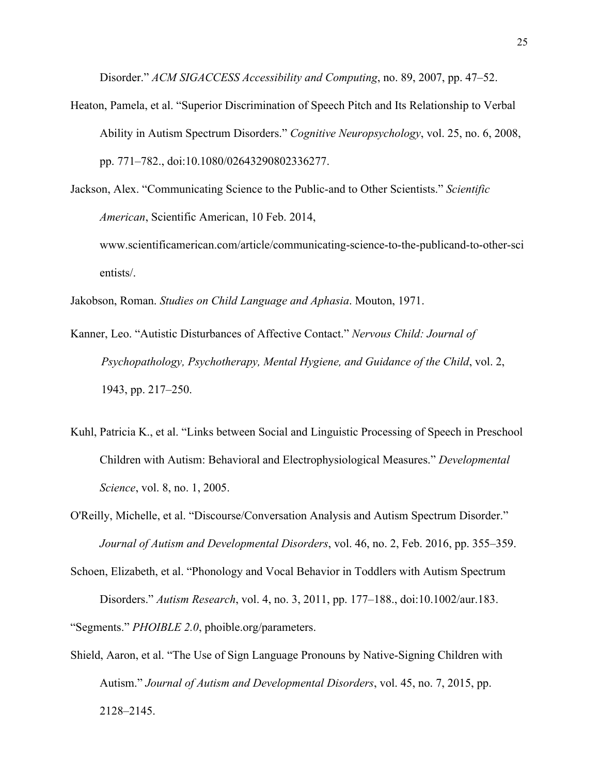Disorder." *ACM SIGACCESS Accessibility and Computing*, no. 89, 2007, pp. 47–52.

Heaton, Pamela, et al. "Superior Discrimination of Speech Pitch and Its Relationship to Verbal Ability in Autism Spectrum Disorders." *Cognitive Neuropsychology*, vol. 25, no. 6, 2008, pp. 771–782., doi:10.1080/02643290802336277.

Jackson, Alex. "Communicating Science to the Public-and to Other Scientists." *Scientific American*, Scientific American, 10 Feb. 2014, www.scientificamerican.com/article/communicating-science-to-the-publicand-to-other-sci entists/.

Jakobson, Roman. *Studies on Child Language and Aphasia*. Mouton, 1971.

- Kanner, Leo. "Autistic Disturbances of Affective Contact." *Nervous Child: Journal of Psychopathology, Psychotherapy, Mental Hygiene, and Guidance of the Child*, vol. 2, 1943, pp. 217–250.
- Kuhl, Patricia K., et al. "Links between Social and Linguistic Processing of Speech in Preschool Children with Autism: Behavioral and Electrophysiological Measures." *Developmental Science*, vol. 8, no. 1, 2005.
- O'Reilly, Michelle, et al. "Discourse/Conversation Analysis and Autism Spectrum Disorder." *Journal of Autism and Developmental Disorders*, vol. 46, no. 2, Feb. 2016, pp. 355–359.

Shield, Aaron, et al. "The Use of Sign Language Pronouns by Native-Signing Children with Autism." *Journal of Autism and Developmental Disorders*, vol. 45, no. 7, 2015, pp. 2128–2145.

Schoen, Elizabeth, et al. "Phonology and Vocal Behavior in Toddlers with Autism Spectrum Disorders." *Autism Research*, vol. 4, no. 3, 2011, pp. 177–188., doi:10.1002/aur.183. "Segments." *PHOIBLE 2.0*, phoible.org/parameters.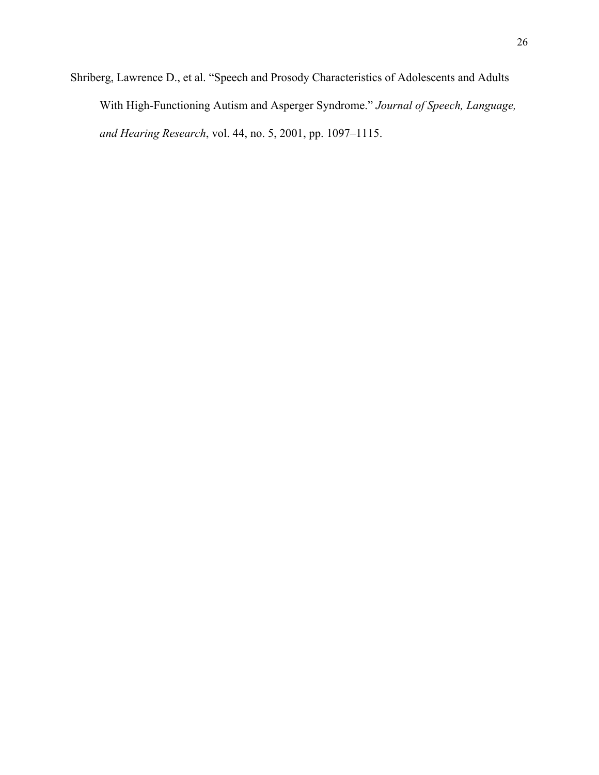Shriberg, Lawrence D., et al. "Speech and Prosody Characteristics of Adolescents and Adults With High-Functioning Autism and Asperger Syndrome." *Journal of Speech, Language, and Hearing Research*, vol. 44, no. 5, 2001, pp. 1097–1115.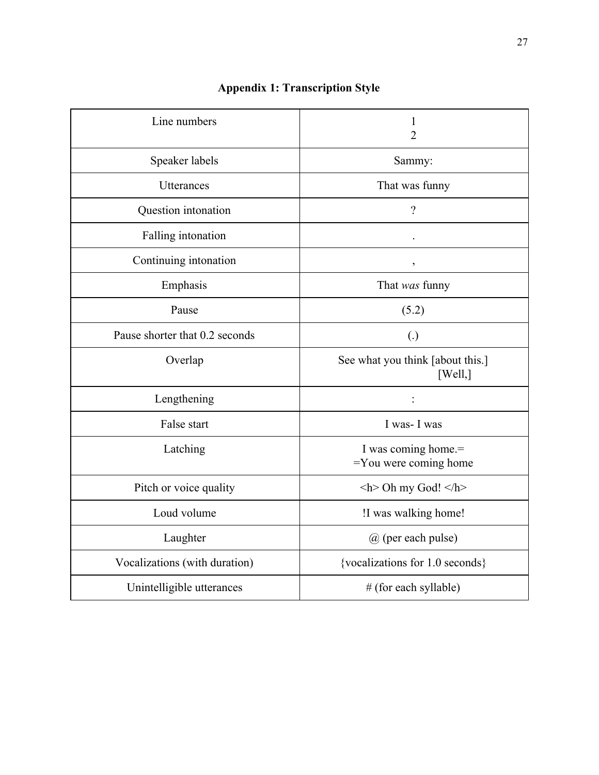| Line numbers                   | 1<br>$\overline{2}$                             |
|--------------------------------|-------------------------------------------------|
| Speaker labels                 | Sammy:                                          |
| Utterances                     | That was funny                                  |
| Question intonation            | $\overline{\mathcal{L}}$                        |
| Falling intonation             |                                                 |
| Continuing intonation          | $\mathfrak z$                                   |
| Emphasis                       | That was funny                                  |
| Pause                          | (5.2)                                           |
| Pause shorter that 0.2 seconds | $\left( .\right)$                               |
| Overlap                        | See what you think [about this.]<br>[Well, ]    |
| Lengthening                    |                                                 |
| False start                    | I was-I was                                     |
| Latching                       | I was coming home.=<br>$=$ You were coming home |
| Pitch or voice quality         | $\langle h$ Oh my God! $\langle h \rangle$      |
| Loud volume                    | !I was walking home!                            |
| Laughter                       | @ (per each pulse)                              |
| Vocalizations (with duration)  | {vocalizations for 1.0 seconds}                 |
| Unintelligible utterances      | # (for each syllable)                           |

## **Appendix 1: Transcription Style**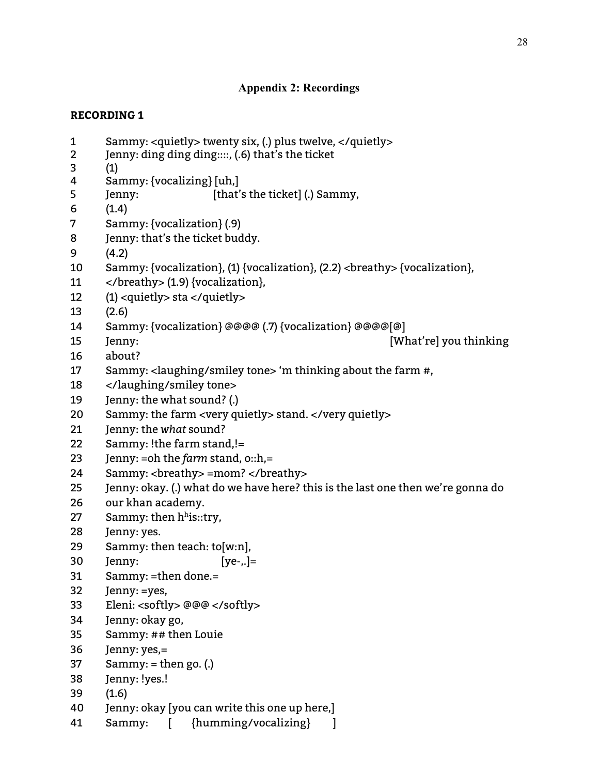## **Appendix 2: Recordings**

- Sammy: <quietly> twenty six, (.) plus twelve, </quietly>
- Jenny: ding ding ding::::, (.6) that's the ticket
- (1)
- Sammy: {vocalizing} [uh,]
- Jenny: [that's the ticket] (.) Sammy,
- (1.4)
- Sammy: {vocalization} (.9)
- Jenny: that's the ticket buddy.
- (4.2)
- Sammy: {vocalization}, (1) {vocalization}, (2.2) <breathy> {vocalization},
- </breathy> (1.9) {vocalization},
- (1) <quietly> sta </quietly>
- (2.6)
- Sammy: {vocalization} @@@@ (.7) {vocalization} @@@@[@]
- Jenny: [What're] you thinking
- about?
- Sammy: <laughing/smiley tone> 'm thinking about the farm #,
- </laughing/smiley tone>
- Jenny: the what sound? (.)
- Sammy: the farm <very quietly> stand. </very quietly>
- Jenny: the *what* sound?
- Sammy: !the farm stand,!=
- Jenny: =oh the *farm* stand, o::h,=
- 24 Sammy: <br eathy> =mom? </breathy>
- Jenny: okay. (.) what do we have here? this is the last one then we're gonna do
- our khan academy.
- 27 Sammy: then  $h<sup>h</sup>$ is::try,
- Jenny: yes.
- Sammy: then teach: to[w:n],
- Jenny: [ye-,.]=
- Sammy: =then done.=
- Jenny: =yes,
- Eleni: <softly> @@@ </softly>
- Jenny: okay go,
- Sammy: ## then Louie
- Jenny: yes,=
- Sammy: = then go. (.)
- Jenny: !yes.!
- (1.6)
- Jenny: okay [you can write this one up here,]
- Sammy: [ {humming/vocalizing} ]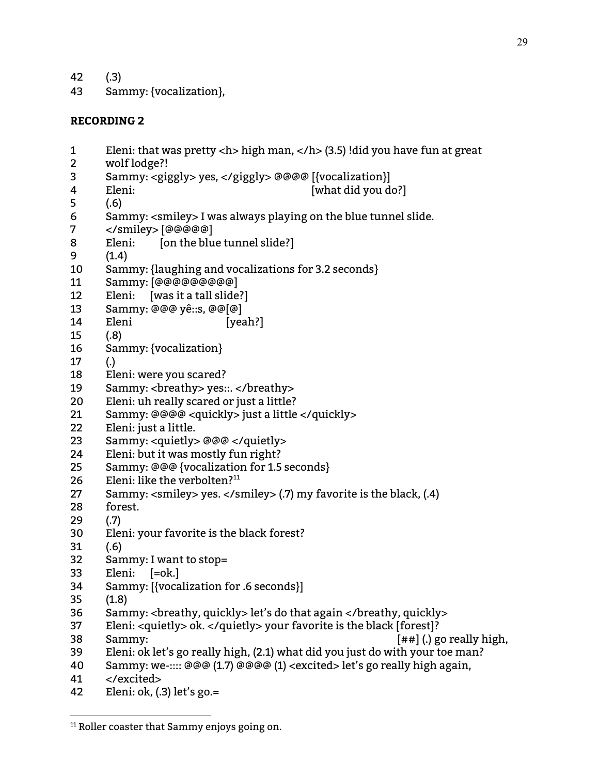- (.3)
- Sammy: {vocalization},

- Eleni: that was pretty <h> high man, </h> (3.5) !did you have fun at great
- wolf lodge?!
- Sammy: <giggly> yes, </giggly> @@@@ [{vocalization}]
- 4 Eleni: [what did you do?]
- (.6)
- Sammy: <smiley> I was always playing on the blue tunnel slide.
- </smiley> [@@@@@]
- 8 Eleni: [on the blue tunnel slide?]
- (1.4)
- Sammy: {laughing and vocalizations for 3.2 seconds}
- Sammy: [@@@@@@@@@]
- Eleni: [was it a tall slide?]
- Sammy: @@@ yê::s, @@[@]
- 14 Eleni [yeah?]
- (.8)
- Sammy: {vocalization}
- (.)
- Eleni: were you scared?
- Sammy: <breathy> yes::. </breathy>
- Eleni: uh really scared or just a little?
- Sammy: @@@@ <quickly> just a little </quickly>
- Eleni: just a little.
- Sammy: <quietly> @@@ </quietly>
- Eleni: but it was mostly fun right?
- Sammy: @@@ {vocalization for 1.5 seconds}
- Eleni: like the verbolten? 11
- Sammy: <smiley> yes. </smiley> (.7) my favorite is the black, (.4)
- forest.
- (.7)
- Eleni: your favorite is the black forest?
- (.6)
- Sammy: I want to stop=
- Eleni: [=ok.]
- Sammy: [{vocalization for .6 seconds}]
- (1.8)
- Sammy: <breathy, quickly> let's do that again </breathy, quickly>
- Eleni: <quietly> ok. </quietly> your favorite is the black [forest]?
- Sammy: [##] (.) go really high,
- Eleni: ok let's go really high, (2.1) what did you just do with your toe man?
- Sammy: we-:::: @@@ (1.7) @@@@ (1) <excited> let's go really high again,
- </excited>
- Eleni: ok, (.3) let's go.=

<sup>&</sup>lt;sup>11</sup> Roller coaster that Sammy enjoys going on.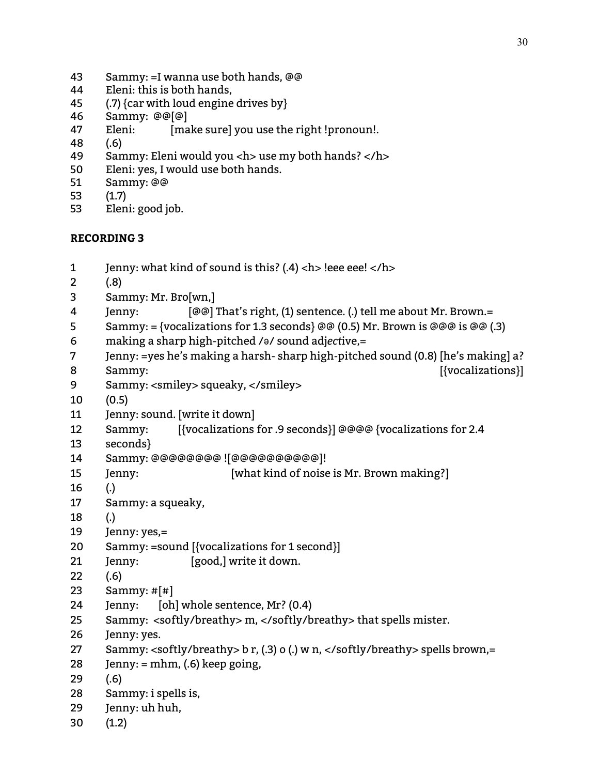- Sammy: =I wanna use both hands, @@
- Eleni: this is both hands,
- (.7) {car with loud engine drives by}
- Sammy: @@[@]
- 47 Eleni: [make sure] you use the right !pronoun!.
- (.6)
- Sammy: Eleni would you <h> use my both hands? </h>
- Eleni: yes, I would use both hands.
- Sammy: @@
- (1.7)
- Eleni: good job.

- Jenny: what kind of sound is this? (.4) <h> !eee eee! </h> (.8) Sammy: Mr. Bro[wn,]
- Jenny: [@@] That's right, (1) sentence. (.) tell me about Mr. Brown.=
- 5 Sammy: = {vocalizations for 1.3 seconds} @@ (0.5) Mr. Brown is @@@ is @@ (.3)
- making a sharp high-pitched /ə/ sound adj*ect*ive,=
- Jenny: =yes he's making a harsh- sharp high-pitched sound (0.8) [he's making] a?
- 8 Sammy: [[vocalizations]]
- Sammy: <smiley> squeaky, </smiley>
- (0.5)
- Jenny: sound. [write it down]
- Sammy: [{vocalizations for .9 seconds}] @@@@ {vocalizations for 2.4
- seconds}
- Sammy: @@@@@@@@ ![@@@@@@@@@@]!
- Jenny: [what kind of noise is Mr. Brown making?]
- (.)
- Sammy: a squeaky,
- (.)
- Jenny: yes,=
- Sammy: =sound [{vocalizations for 1 second}]
- Jenny: [good,] write it down.
- (.6)
- Sammy: #[#]
- Jenny: [oh] whole sentence, Mr? (0.4)
- Sammy: <softly/breathy> m, </softly/breathy> that spells mister.
- Jenny: yes.
- Sammy: <softly/breathy> b r, (.3) o (.) w n, </softly/breathy> spells brown,=
- 28 Jenny:  $=$  mhm, (.6) keep going,
- (.6)
- Sammy: i spells is,
- Jenny: uh huh,
- (1.2)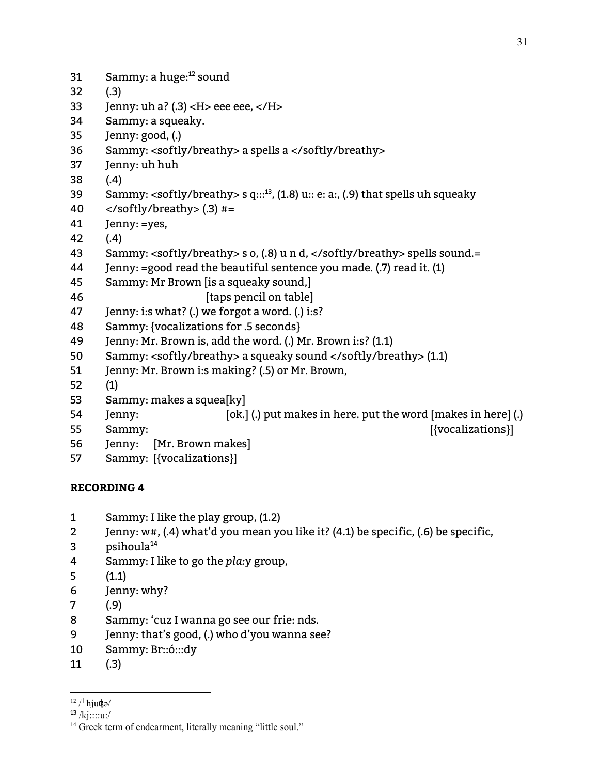31 Sammy: a huge:<sup>12</sup> sound (.3) 33 Jenny: uh a? (.3) < $H$  > eee eee, < $/H$  > Sammy: a squeaky. Jenny: good, (.) Sammy: <softly/breathy> a spells a </softly/breathy> Jenny: uh huh (.4) 39 Sammy: <softly/breathy> s q:::<sup>13</sup>, (1.8) u:: e: a:, (.9) that spells uh squeaky  $\langle$ /softly/breathy> $(.3)$ #= Jenny: =yes, (.4) 43 Sammy: <softly/breathy> s o, (.8) u n d, </softly/breathy> spells sound.= Jenny: =good read the beautiful sentence you made. (.7) read it. (1) Sammy: Mr Brown [is a squeaky sound,] *I* [taps pencil on table] Jenny: i:s what? (.) we forgot a word. (.) i:s? Sammy: {vocalizations for .5 seconds} Jenny: Mr. Brown is, add the word. (.) Mr. Brown i:s? (1.1) Sammy: <softly/breathy> a squeaky sound </softly/breathy> (1.1) Jenny: Mr. Brown i:s making? (.5) or Mr. Brown, (1) Sammy: makes a squea[ky] 54 Jenny: [ok.] (.) put makes in here. put the word [makes in here] (.) 55 Sammy: [[vocalizations]] Jenny: [Mr. Brown makes]

Sammy: [{vocalizations}]

- Sammy: I like the play group, (1.2)
- Jenny: w#, (.4) what'd you mean you like it? (4.1) be specific, (.6) be specific,
- psihoula 14
- Sammy: I like to go the *pla:y* group,
- (1.1)
- Jenny: why?
- (.9)
- Sammy: 'cuz I wanna go see our frie: nds.
- Jenny: that's good, (.) who d'you wanna see?
- Sammy: Br::ó:::dy
- (.3)

 $12 / \ln \frac{\text{kg}}{\text{m}}$ 

<sup>&</sup>lt;sup>13</sup> /kj∷∷u:/

<sup>&</sup>lt;sup>14</sup> Greek term of endearment, literally meaning "little soul."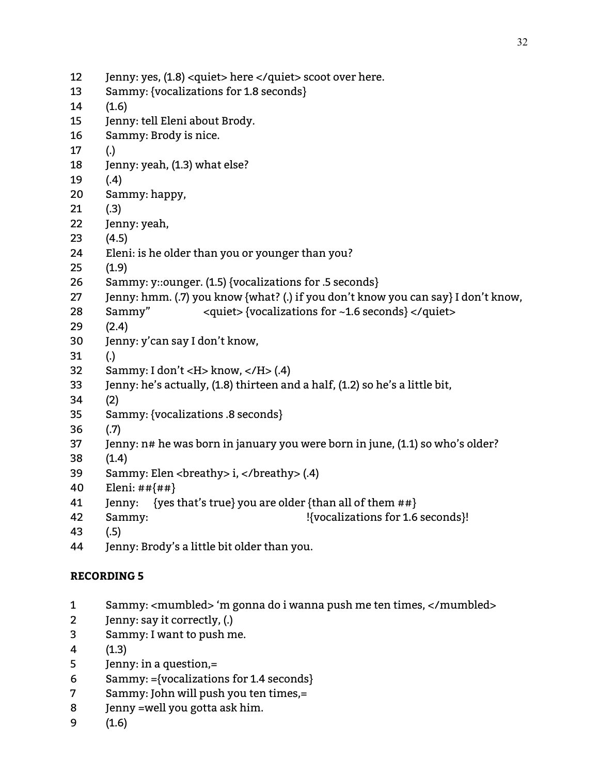| 12 | Jenny: yes, (1.8) < quiet > here  scoot over here.                                |
|----|-----------------------------------------------------------------------------------|
| 13 | Sammy: {vocalizations for 1.8 seconds}                                            |
| 14 | (1.6)                                                                             |
| 15 | Jenny: tell Eleni about Brody.                                                    |
| 16 | Sammy: Brody is nice.                                                             |
| 17 | $\left( .\right)$                                                                 |
| 18 | Jenny: yeah, (1.3) what else?                                                     |
| 19 | (.4)                                                                              |
| 20 | Sammy: happy,                                                                     |
| 21 | (.3)                                                                              |
| 22 | Jenny: yeah,                                                                      |
| 23 | (4.5)                                                                             |
| 24 | Eleni: is he older than you or younger than you?                                  |
| 25 | (1.9)                                                                             |
| 26 | Sammy: y::ounger. (1.5) {vocalizations for .5 seconds}                            |
| 27 | Jenny: hmm. (.7) you know {what? (.) if you don't know you can say} I don't know, |
| 28 | Sammy"<br><quiet>{vocalizations for ~1.6 seconds}</quiet>                         |
| 29 | (2.4)                                                                             |
| 30 | Jenny: y'can say I don't know,                                                    |
| 31 | $\left( . \right)$                                                                |
| 32 | Sammy: I don't < $H$ >know, < $/H$ > (.4)                                         |
| 33 | Jenny: he's actually, (1.8) thirteen and a half, (1.2) so he's a little bit,      |
| 34 | (2)                                                                               |
| 35 | Sammy: {vocalizations .8 seconds}                                                 |
| 36 | (.7)                                                                              |
| 37 | Jenny: n# he was born in january you were born in june, (1.1) so who's older?     |
| 38 | (1.4)                                                                             |
| 39 | Sammy: Elen<br>breathy> i, (.4)                                                   |
| 40 | Eleni: $\#$ # $\{$ ## $\}$                                                        |
| 41 | {yes that's true} you are older {than all of them ##}<br>Jenny:                   |
| 42 | !{vocalizations for 1.6 seconds}!<br>Sammy:                                       |
|    |                                                                                   |

- (.5)
- Jenny: Brody's a little bit older than you.

- Sammy: <mumbled> 'm gonna do i wanna push me ten times, </mumbled>
- Jenny: say it correctly, (.)
- Sammy: I want to push me.
- (1.3)
- Jenny: in a question,=
- Sammy: ={vocalizations for 1.4 seconds}
- Sammy: John will push you ten times,=
- Jenny =well you gotta ask him.
- (1.6)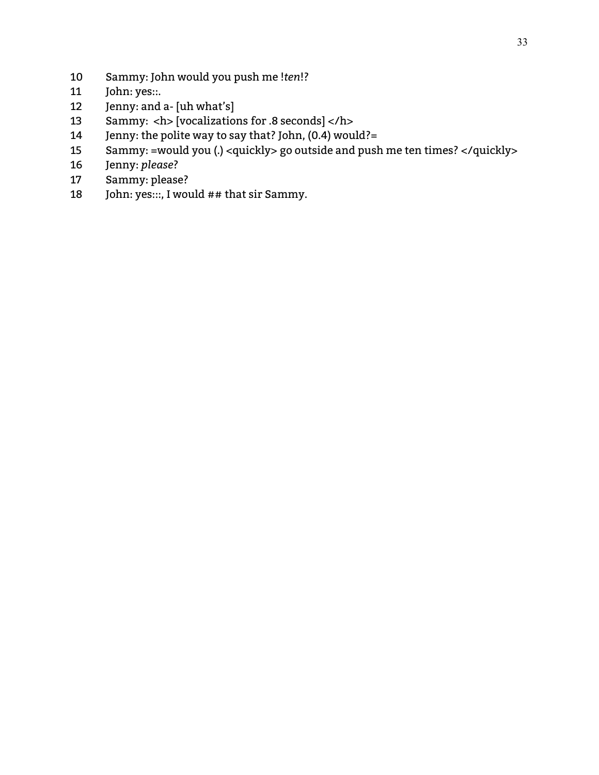- Sammy: John would you push me !*ten*!?
- John: yes::.
- Jenny: and a- [uh what's]
- Sammy: <h> [vocalizations for .8 seconds] </h>
- Jenny: the polite way to say that? John, (0.4) would?=
- Sammy: =would you (.) <quickly> go outside and push me ten times? </quickly>
- Jenny: *please*?
- Sammy: please?
- 18 John: yes:::, I would ## that sir Sammy.